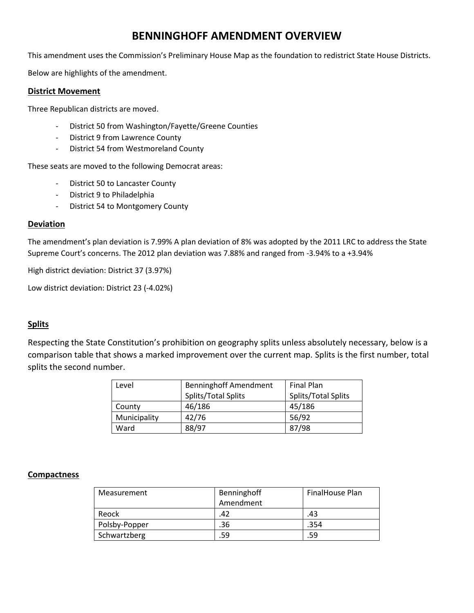# **BENNINGHOFF AMENDMENT OVERVIEW**

This amendment uses the Commission's Preliminary House Map as the foundation to redistrict State House Districts.

Below are highlights of the amendment.

#### **District Movement**

Three Republican districts are moved.

- District 50 from Washington/Fayette/Greene Counties
- District 9 from Lawrence County
- District 54 from Westmoreland County

These seats are moved to the following Democrat areas:

- District 50 to Lancaster County
- District 9 to Philadelphia
- District 54 to Montgomery County

#### **Deviation**

The amendment's plan deviation is 7.99% A plan deviation of 8% was adopted by the 2011 LRC to address the State Supreme Court's concerns. The 2012 plan deviation was 7.88% and ranged from -3.94% to a +3.94%

High district deviation: District 37 (3.97%)

Low district deviation: District 23 (-4.02%)

## **Splits**

Respecting the State Constitution's prohibition on geography splits unless absolutely necessary, below is a comparison table that shows a marked improvement over the current map. Splits is the first number, total splits the second number.

| Level        | <b>Benninghoff Amendment</b> | <b>Final Plan</b>   |  |
|--------------|------------------------------|---------------------|--|
|              | Splits/Total Splits          | Splits/Total Splits |  |
| County       | 46/186                       | 45/186              |  |
| Municipality | 42/76                        | 56/92               |  |
| Ward         | 88/97                        | 87/98               |  |

#### **Compactness**

| Measurement   | Benninghoff<br>Amendment | FinalHouse Plan |
|---------------|--------------------------|-----------------|
| Reock         | 42                       | .43             |
| Polsby-Popper | .36                      | .354            |
| Schwartzberg  | 59                       | .59             |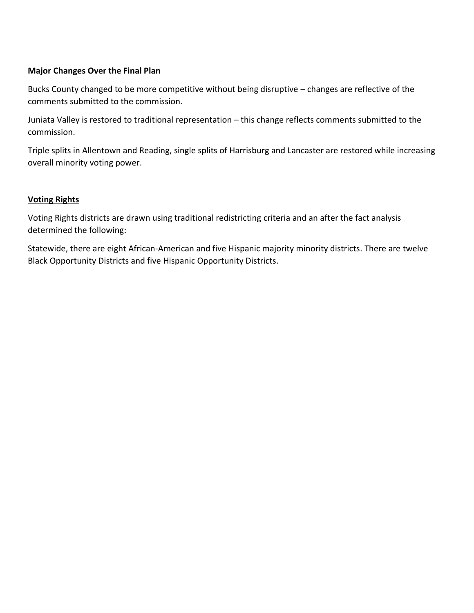# **Major Changes Over the Final Plan**

Bucks County changed to be more competitive without being disruptive – changes are reflective of the comments submitted to the commission.

Juniata Valley is restored to traditional representation – this change reflects comments submitted to the commission.

Triple splits in Allentown and Reading, single splits of Harrisburg and Lancaster are restored while increasing overall minority voting power.

## **Voting Rights**

Voting Rights districts are drawn using traditional redistricting criteria and an after the fact analysis determined the following:

Statewide, there are eight African-American and five Hispanic majority minority districts. There are twelve Black Opportunity Districts and five Hispanic Opportunity Districts.